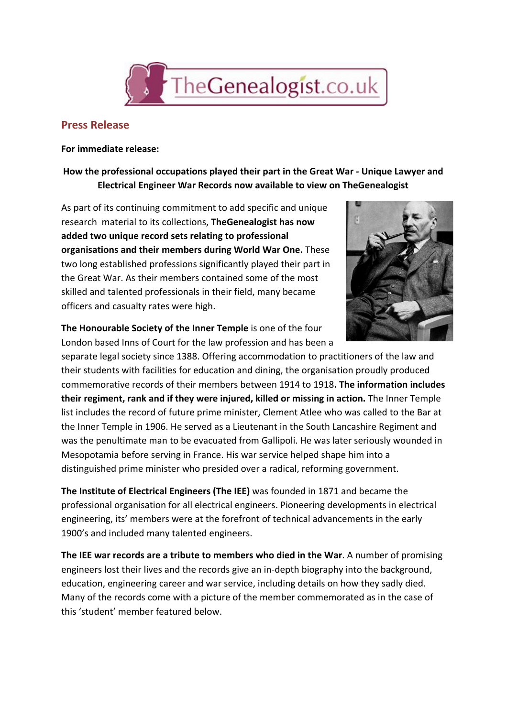

## **Press Release**

**For immediate release:**

## **How the professional occupations played their part in the Great War Unique Lawyer and Electrical Engineer War Records now available to view on TheGenealogist**

As part of its continuing commitment to add specific and unique research material to its collections, **TheGenealogist has now added two unique record sets relating to professional organisations and their members during World War One.**These two long established professions significantly played their part in the Great War. As their members contained some of the most skilled and talented professionals in their field, many became officers and casualty rates were high.



**The Honourable Society of the Inner Temple**is one of the four London based Inns of Court for the law profession and has been a

separate legal society since 1388. Offering accommodation to practitioners of the law and their students with facilities for education and dining, the organisation proudly produced commemorative records of their members between 1914 to 1918**. The information includes their regiment, rank and if they were injured, killed or missing in action.**The Inner Temple list includes the record of future prime minister, Clement Atlee who was called to the Bar at the Inner Temple in 1906. He served as a Lieutenant in the South Lancashire Regiment and was the penultimate man to be evacuated from Gallipoli. He was later seriously wounded in Mesopotamia before serving in France. His war service helped shape him into a distinguished prime minister who presided over a radical, reforming government.

**The Institute of Electrical Engineers (The IEE)**was founded in 1871 and became the professional organisation for all electrical engineers. Pioneering developments in electrical engineering, its' members were at the forefront of technical advancements in the early 1900's and included many talented engineers.

**The IEE war records are a tribute to members who died in the War**. A number of promising engineers lost their lives and the records give an in-depth biography into the background, education, engineering career and war service, including details on how they sadly died. Many of the records come with a picture of the member commemorated as in the case of this 'student' member featured below.